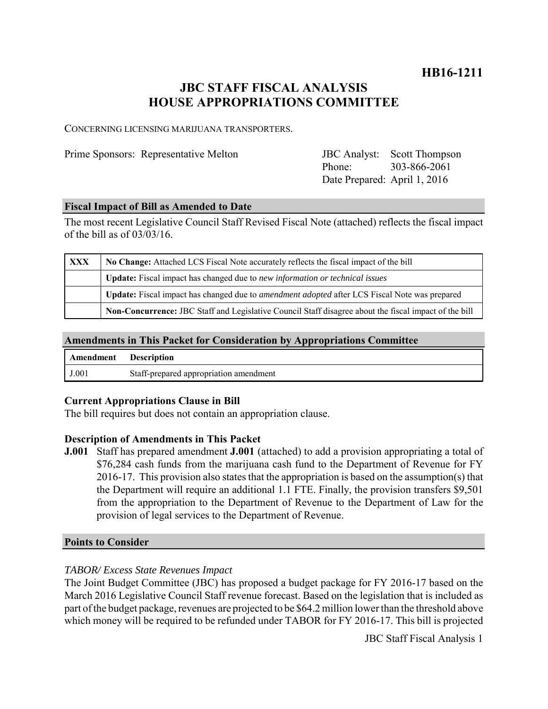**HB16-1211**

# **JBC STAFF FISCAL ANALYSIS HOUSE APPROPRIATIONS COMMITTEE**

CONCERNING LICENSING MARIJUANA TRANSPORTERS.

Prime Sponsors: Representative Melton JBC Analyst:

Phone: Date Prepared: April 1, 2016 Scott Thompson 303-866-2061

#### **Fiscal Impact of Bill as Amended to Date**

The most recent Legislative Council Staff Revised Fiscal Note (attached) reflects the fiscal impact of the bill as of 03/03/16.

| <b>XXX</b> | No Change: Attached LCS Fiscal Note accurately reflects the fiscal impact of the bill                       |
|------------|-------------------------------------------------------------------------------------------------------------|
|            | <b>Update:</b> Fiscal impact has changed due to new information or technical issues                         |
|            | <b>Update:</b> Fiscal impact has changed due to <i>amendment adopted</i> after LCS Fiscal Note was prepared |
|            | Non-Concurrence: JBC Staff and Legislative Council Staff disagree about the fiscal impact of the bill       |

#### **Amendments in This Packet for Consideration by Appropriations Committee**

| Amendment | <b>Description</b>                     |
|-----------|----------------------------------------|
| J.001     | Staff-prepared appropriation amendment |

#### **Current Appropriations Clause in Bill**

The bill requires but does not contain an appropriation clause.

#### **Description of Amendments in This Packet**

**J.001** Staff has prepared amendment **J.001** (attached) to add a provision appropriating a total of \$76,284 cash funds from the marijuana cash fund to the Department of Revenue for FY 2016-17. This provision also states that the appropriation is based on the assumption(s) that the Department will require an additional 1.1 FTE. Finally, the provision transfers \$9,501 from the appropriation to the Department of Revenue to the Department of Law for the provision of legal services to the Department of Revenue.

#### **Points to Consider**

### *TABOR/ Excess State Revenues Impact*

The Joint Budget Committee (JBC) has proposed a budget package for FY 2016-17 based on the March 2016 Legislative Council Staff revenue forecast. Based on the legislation that is included as part of the budget package, revenues are projected to be \$64.2 million lower than the threshold above which money will be required to be refunded under TABOR for FY 2016-17. This bill is projected